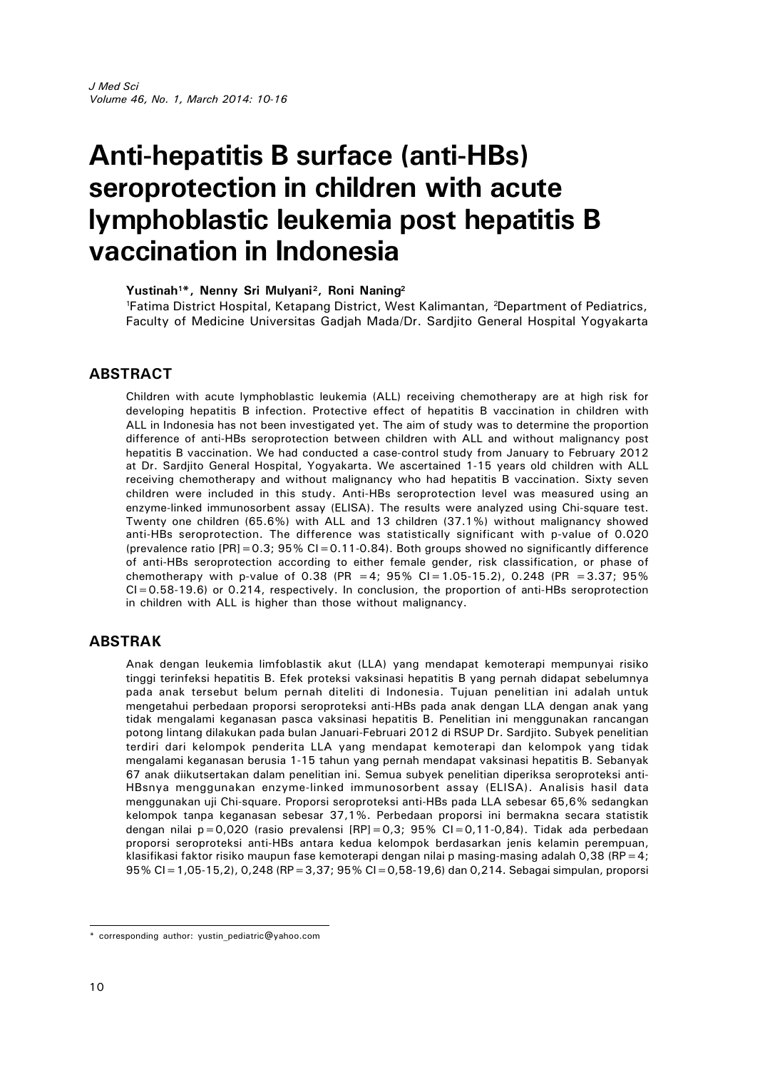# **Anti-hepatitis B surface (anti-HBs) seroprotection in children with acute lymphoblastic leukemia post hepatitis B vaccination in Indonesia**

**Yustinah1\*, Nenny Sri Mulyani<sup>2</sup> , Roni Naning<sup>2</sup>** <sup>1</sup>Fatima District Hospital, Ketapang District, West Kalimantan, <sup>2</sup>Department of Pediatrics, Faculty of Medicine Universitas Gadjah Mada/Dr. Sardjito General Hospital Yogyakarta

## **ABSTRACT**

Children with acute lymphoblastic leukemia (ALL) receiving chemotherapy are at high risk for developing hepatitis B infection. Protective effect of hepatitis B vaccination in children with ALL in Indonesia has not been investigated yet. The aim of study was to determine the proportion difference of anti-HBs seroprotection between children with ALL and without malignancy post hepatitis B vaccination. We had conducted a case-control study from January to February 2012 at Dr. Sardjito General Hospital, Yogyakarta. We ascertained 1-15 years old children with ALL receiving chemotherapy and without malignancy who had hepatitis B vaccination. Sixty seven children were included in this study. Anti-HBs seroprotection level was measured using an enzyme-linked immunosorbent assay (ELISA). The results were analyzed using Chi-square test. Twenty one children (65.6%) with ALL and 13 children (37.1%) without malignancy showed anti-HBs seroprotection. The difference was statistically significant with p-value of 0.020 (prevalence ratio  $[PR] = 0.3$ ; 95% CI = 0.11-0.84). Both groups showed no significantly difference of anti-HBs seroprotection according to either female gender, risk classification, or phase of chemotherapy with p-value of 0.38 (PR = 4; 95% CI = 1.05-15.2), 0.248 (PR = 3.37; 95%  $Cl = 0.58-19.6$ ) or 0.214, respectively. In conclusion, the proportion of anti-HBs seroprotection in children with ALL is higher than those without malignancy.

## **ABSTRAK**

Anak dengan leukemia limfoblastik akut (LLA) yang mendapat kemoterapi mempunyai risiko tinggi terinfeksi hepatitis B. Efek proteksi vaksinasi hepatitis B yang pernah didapat sebelumnya pada anak tersebut belum pernah diteliti di Indonesia. Tujuan penelitian ini adalah untuk mengetahui perbedaan proporsi seroproteksi anti-HBs pada anak dengan LLA dengan anak yang tidak mengalami keganasan pasca vaksinasi hepatitis B. Penelitian ini menggunakan rancangan potong lintang dilakukan pada bulan Januari-Februari 2012 di RSUP Dr. Sardjito. Subyek penelitian terdiri dari kelompok penderita LLA yang mendapat kemoterapi dan kelompok yang tidak mengalami keganasan berusia 1-15 tahun yang pernah mendapat vaksinasi hepatitis B. Sebanyak 67 anak diikutsertakan dalam penelitian ini. Semua subyek penelitian diperiksa seroproteksi anti-HBsnya menggunakan enzyme-linked immunosorbent assay (ELISA). Analisis hasil data menggunakan uji Chi-square. Proporsi seroproteksi anti-HBs pada LLA sebesar 65,6% sedangkan kelompok tanpa keganasan sebesar 37,1%. Perbedaan proporsi ini bermakna secara statistik dengan nilai p=0,020 (rasio prevalensi  $[RP]=0,3$ ; 95% CI=0,11-0,84). Tidak ada perbedaan proporsi seroproteksi anti-HBs antara kedua kelompok berdasarkan jenis kelamin perempuan, klasifikasi faktor risiko maupun fase kemoterapi dengan nilai p masing-masing adalah 0,38 (RP=4; 95% CI=1,05-15,2), 0,248 (RP=3,37; 95% CI=0,58-19,6) dan 0,214. Sebagai simpulan, proporsi

<sup>\*</sup> corresponding author: yustin\_pediatric@yahoo.com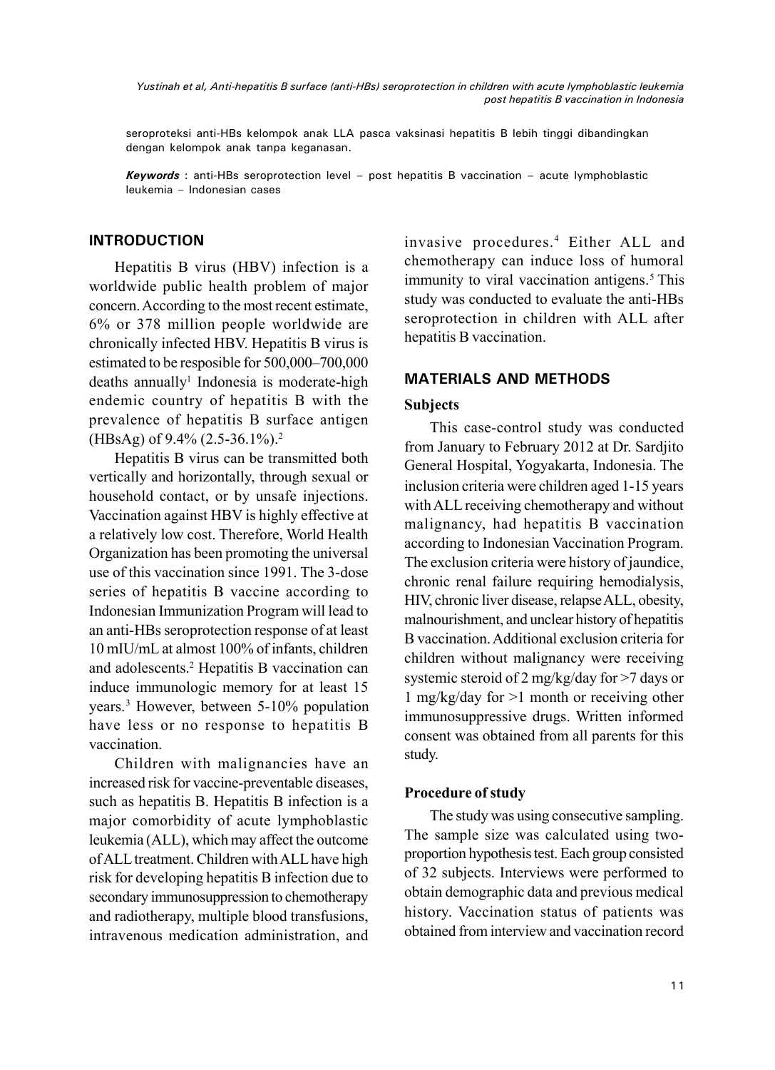*Yustinah et al, Anti-hepatitis B surface (anti-HBs) seroprotection in children with acute lymphoblastic leukemia post hepatitis B vaccination in Indonesia*

seroproteksi anti-HBs kelompok anak LLA pasca vaksinasi hepatitis B lebih tinggi dibandingkan dengan kelompok anak tanpa keganasan.

*Keywords* : anti-HBs seroprotection level – post hepatitis B vaccination – acute lymphoblastic leukemia – Indonesian cases

# **INTRODUCTION**

Hepatitis B virus (HBV) infection is a worldwide public health problem of major concern.According to the most recent estimate, 6% or 378 million people worldwide are chronically infected HBV. Hepatitis B virus is estimated to be resposible for 500,000–700,000 deaths annually<sup>1</sup> Indonesia is moderate-high endemic country of hepatitis B with the prevalence of hepatitis B surface antigen (HBsAg) of 9.4% (2.5-36.1%).<sup>2</sup>

Hepatitis B virus can be transmitted both vertically and horizontally, through sexual or household contact, or by unsafe injections. Vaccination against HBV is highly effective at a relatively low cost. Therefore, World Health Organization has been promoting the universal use of this vaccination since 1991. The 3-dose series of hepatitis B vaccine according to Indonesian Immunization Program will lead to an anti-HBs seroprotection response of at least 10 mIU/mL at almost 100% of infants, children and adolescents.<sup>2</sup> Hepatitis B vaccination can induce immunologic memory for at least 15 years.<sup>3</sup> However, between 5-10% population have less or no response to hepatitis B vaccination.

Children with malignancies have an increased risk for vaccine-preventable diseases, such as hepatitis B. Hepatitis B infection is a major comorbidity of acute lymphoblastic leukemia (ALL), which may affect the outcome of ALL treatment. Children with ALL have high risk for developing hepatitis B infection due to secondary immunosuppression to chemotherapy and radiotherapy, multiple blood transfusions, intravenous medication administration, and

invasive procedures.<sup>4</sup> Either ALL and chemotherapy can induce loss of humoral immunity to viral vaccination antigens.<sup>5</sup> This study was conducted to evaluate the anti-HBs seroprotection in children with ALL after hepatitis B vaccination.

# **MATERIALS AND METHODS**

# **Subjects**

This case-control study was conducted from January to February 2012 at Dr. Sardjito General Hospital, Yogyakarta, Indonesia. The inclusion criteria were children aged 1-15 years with ALL receiving chemotherapy and without malignancy, had hepatitis B vaccination according to Indonesian Vaccination Program. The exclusion criteria were history of jaundice, chronic renal failure requiring hemodialysis, HIV, chronic liver disease, relapseALL, obesity, malnourishment, and unclear history of hepatitis B vaccination.Additional exclusion criteria for children without malignancy were receiving systemic steroid of 2 mg/kg/day for >7 days or 1 mg/kg/day for >1 month or receiving other immunosuppressive drugs. Written informed consent was obtained from all parents for this study.

## **Procedure of study**

The study was using consecutive sampling. The sample size was calculated using twoproportion hypothesis test. Each group consisted of 32 subjects. Interviews were performed to obtain demographic data and previous medical history. Vaccination status of patients was obtained from interview and vaccination record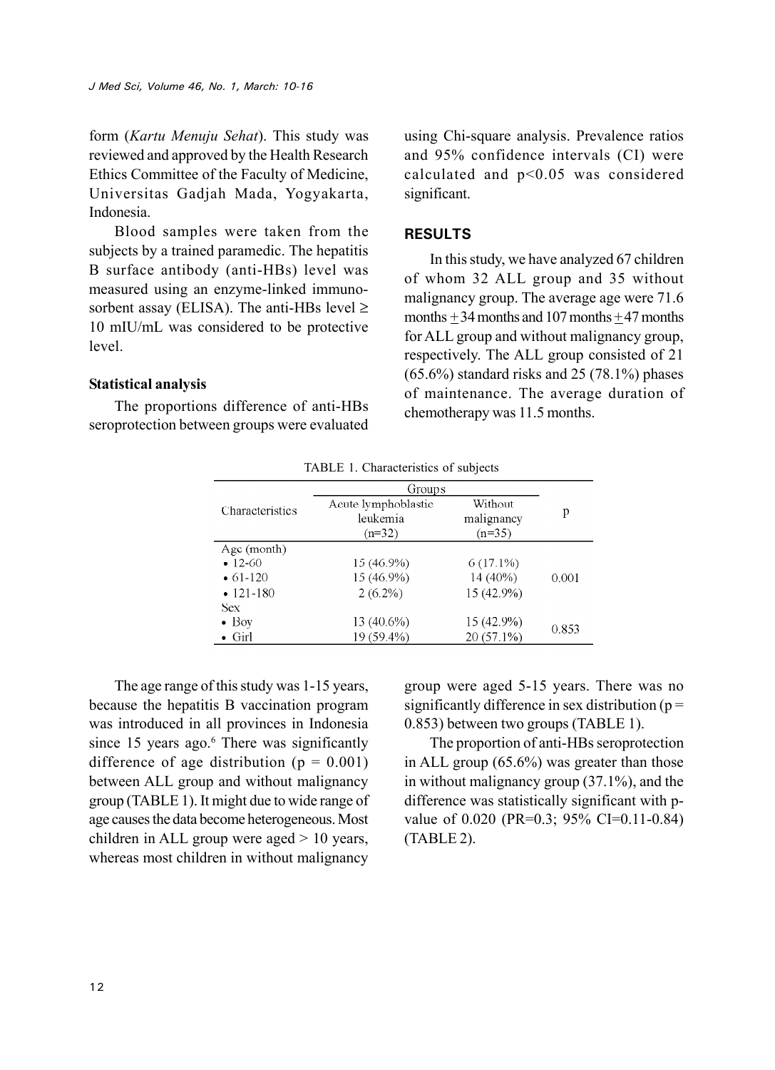form (*Kartu Menuju Sehat*). This study was reviewed and approved by the Health Research Ethics Committee of the Faculty of Medicine, Universitas Gadjah Mada, Yogyakarta, Indonesia.

Blood samples were taken from the subjects by a trained paramedic. The hepatitis B surface antibody (anti-HBs) level was measured using an enzyme-linked immunosorbent assay (ELISA). The anti-HBs level  $\geq$ 10 mIU/mL was considered to be protective level.

#### **Statistical analysis**

The proportions difference of anti-HBs seroprotection between groups were evaluated

using Chi-square analysis. Prevalence ratios and 95% confidence intervals (CI) were calculated and p<0.05 was considered significant.

## **RESULTS**

In this study, we have analyzed 67 children of whom 32 ALL group and 35 without malignancy group. The average age were 71.6 months  $+34$  months and 107 months  $+47$  months for ALL group and without malignancy group, respectively. The ALL group consisted of 21 (65.6%) standard risks and 25 (78.1%) phases of maintenance. The average duration of chemotherapy was 11.5 months.

|                  | TABLE 1. Characteristics of subjects |              |       |
|------------------|--------------------------------------|--------------|-------|
|                  | Groups                               |              |       |
| Characteristics  | Acute lymphoblastic                  | Without      | р     |
|                  | leukemia                             | malignancy   |       |
|                  | $(n=32)$                             | $(n=35)$     |       |
| Age (month)      |                                      |              |       |
| $-12-60$         | 15 (46.9%)                           | $6(17.1\%)$  |       |
| $\bullet$ 61-120 | 15 (46.9%)                           | 14 (40%)     | 0.001 |
| $\cdot$ 121-180  | $2(6.2\%)$                           | 15 (42.9%)   |       |
| Sex              |                                      |              |       |
| $\bullet$ Boy    | 13 (40.6%)                           | 15 (42.9%)   | 0.853 |
| $\bullet$ Girl   | 19 (59.4%)                           | $20(57.1\%)$ |       |

TABLE 1. Characteristics of subjects

The age range of this study was 1-15 years, because the hepatitis B vaccination program was introduced in all provinces in Indonesia since 15 years ago.<sup>6</sup> There was significantly difference of age distribution ( $p = 0.001$ ) between ALL group and without malignancy group (TABLE 1). It might due to wide range of age causes the data become heterogeneous. Most children in ALL group were aged > 10 years, whereas most children in without malignancy

group were aged 5-15 years. There was no significantly difference in sex distribution ( $p =$ 0.853) between two groups (TABLE 1).

The proportion of anti-HBs seroprotection in ALL group (65.6%) was greater than those in without malignancy group (37.1%), and the difference was statistically significant with pvalue of 0.020 (PR=0.3; 95% CI=0.11-0.84) (TABLE 2).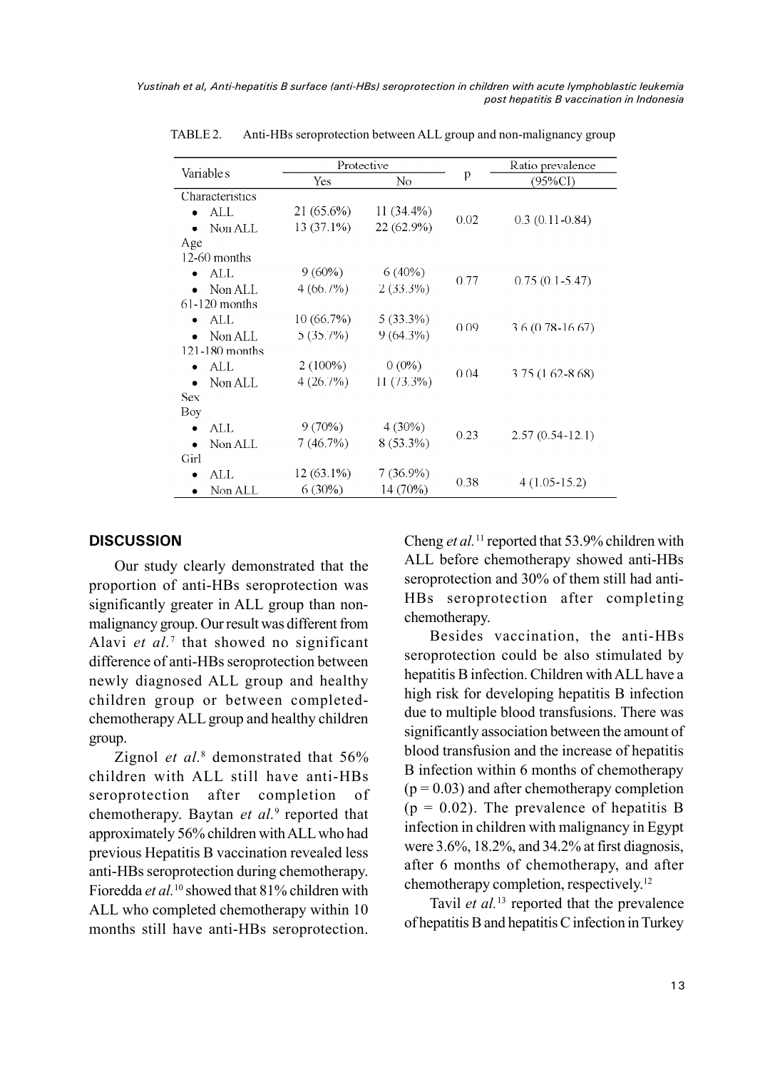*Yustinah et al, Anti-hepatitis B surface (anti-HBs) seroprotection in children with acute lymphoblastic leukemia post hepatitis B vaccination in Indonesia*

| Variable s           | Protective |              |      | Ratio prevalence    |  |
|----------------------|------------|--------------|------|---------------------|--|
|                      | Yes        | No           | p    | (95%CI)             |  |
| Characteristics      |            |              |      |                     |  |
| ALL                  | 21 (65.6%) | $11(34.4\%)$ |      | $0.3(0.11-0.84)$    |  |
| Non ALL              | 13 (37.1%) | 22 (62.9%)   | 0.02 |                     |  |
| Age                  |            |              |      |                     |  |
| $12-60$ months       |            |              |      |                     |  |
| ALL                  | $9(60\%)$  | $6(40\%)$    | 0.77 | $0.75(0.1 - 5.47)$  |  |
| Non ALL              | 4(66.7%)   | $2(33.3\%)$  |      |                     |  |
| $61-120$ months      |            |              |      |                     |  |
| $\bullet$ ALL        | 10(66.7%)  | $5(33.3\%)$  |      | $3.6(0.78 - 16.67)$ |  |
| Non ALL              | 5(35.7%)   | $9(64.3\%)$  | 0.09 |                     |  |
| $121 - 180$ months   |            |              |      |                     |  |
| ALL<br>٠             | $2(100\%)$ | $0(0\%)$     | 0.04 | $3.75(1.62 - 8.68)$ |  |
| Non ALL              | 4(26.7%)   | $11(73.3\%)$ |      |                     |  |
| <b>Sex</b>           |            |              |      |                     |  |
| Boy                  |            |              |      |                     |  |
| ALL                  | $9(70\%)$  | $4(30\%)$    | 0.23 | $2.57(0.54-12.1)$   |  |
| Non ALL              | 7(46.7%)   | $8(53.3\%)$  |      |                     |  |
| Girl                 |            |              |      |                     |  |
| ALL<br>٠             | 12 (63.1%) | $7(36.9\%)$  | 0.38 | $4(1.05-15.2)$      |  |
| Non ALL<br>$\bullet$ | $6(30\%)$  | 14 (70%)     |      |                     |  |

TABLE 2. Anti-HBs seroprotection between ALL group and non-malignancy group

#### **DISCUSSION**

Our study clearly demonstrated that the proportion of anti-HBs seroprotection was significantly greater in ALL group than nonmalignancy group. Our result was different from Alavi et al.<sup>7</sup> that showed no significant difference of anti-HBs seroprotection between newly diagnosed ALL group and healthy children group or between completedchemotherapy ALL group and healthy children group.

Zignol *et al.*<sup>8</sup> demonstrated that 56% children with ALL still have anti-HBs seroprotection after completion of chemotherapy. Baytan *et al.*<sup>9</sup> reported that approximately 56% children withALLwho had previous Hepatitis B vaccination revealed less anti-HBs seroprotection during chemotherapy. Fioredda *et al.*<sup>10</sup> showed that 81% children with ALL who completed chemotherapy within 10 months still have anti-HBs seroprotection.

Cheng *et al.*<sup>11</sup> reported that 53.9% children with ALL before chemotherapy showed anti-HBs seroprotection and 30% of them still had anti-HBs seroprotection after completing chemotherapy.

Besides vaccination, the anti-HBs seroprotection could be also stimulated by hepatitis B infection. Children withALL have a high risk for developing hepatitis B infection due to multiple blood transfusions. There was significantly association between the amount of blood transfusion and the increase of hepatitis B infection within 6 months of chemotherapy  $(p = 0.03)$  and after chemotherapy completion  $(p = 0.02)$ . The prevalence of hepatitis B infection in children with malignancy in Egypt were 3.6%, 18.2%, and 34.2% at first diagnosis, after 6 months of chemotherapy, and after chemotherapy completion, respectively.<sup>12</sup>

Tavil *et al.*<sup>13</sup> reported that the prevalence of hepatitis B and hepatitis C infection in Turkey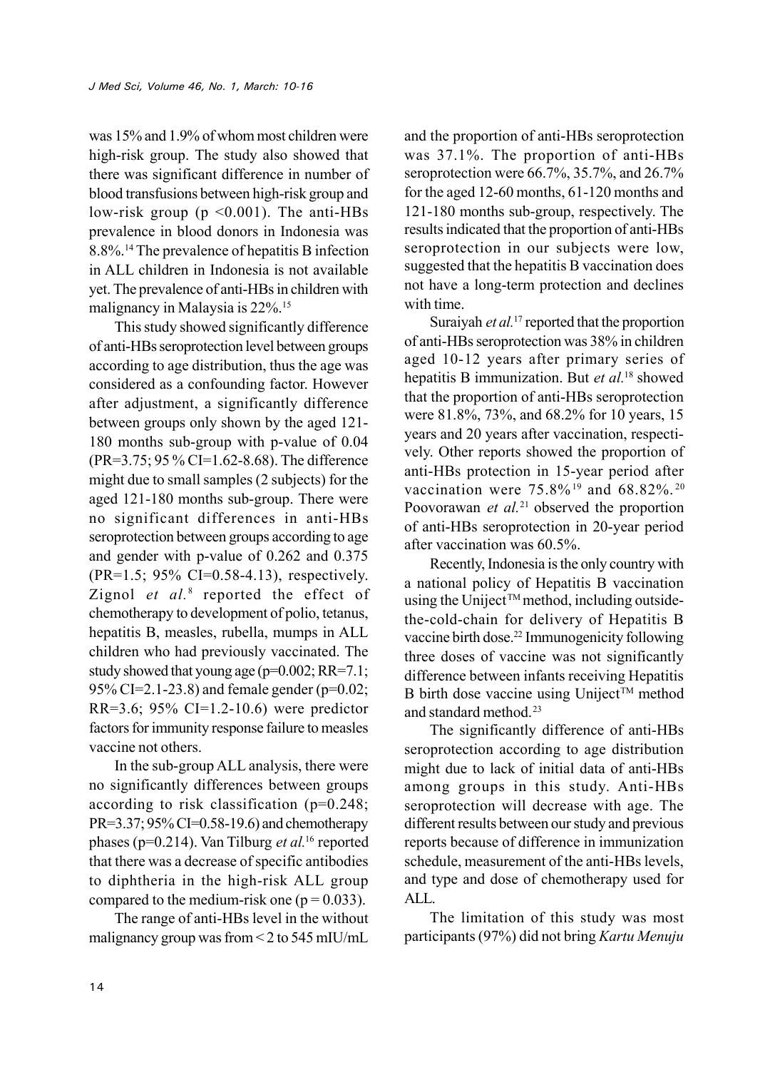was 15% and 1.9% of whom most children were high-risk group. The study also showed that there was significant difference in number of blood transfusions between high-risk group and low-risk group ( $p \le 0.001$ ). The anti-HBs prevalence in blood donors in Indonesia was 8.8%.<sup>14</sup> The prevalence of hepatitis B infection in ALL children in Indonesia is not available yet. The prevalence of anti-HBs in children with malignancy in Malaysia is 22%.<sup>15</sup>

This study showed significantly difference of anti-HBs seroprotection level between groups according to age distribution, thus the age was considered as a confounding factor. However after adjustment, a significantly difference between groups only shown by the aged 121- 180 months sub-group with p-value of 0.04 (PR=3.75; 95 % CI=1.62-8.68). The difference might due to small samples (2 subjects) for the aged 121-180 months sub-group. There were no significant differences in anti-HBs seroprotection between groups according to age and gender with p-value of 0.262 and 0.375 (PR=1.5; 95% CI=0.58-4.13), respectively. Zignol *et al.*<sup>8</sup> reported the effect of chemotherapy to development of polio, tetanus, hepatitis B, measles, rubella, mumps in ALL children who had previously vaccinated. The study showed that young age (p=0.002; RR=7.1; 95% CI=2.1-23.8) and female gender (p=0.02; RR=3.6; 95% CI=1.2-10.6) were predictor factors for immunity response failure to measles vaccine not others.

In the sub-group ALL analysis, there were no significantly differences between groups according to risk classification (p=0.248; PR=3.37; 95% CI=0.58-19.6) and chemotherapy phases (p=0.214). Van Tilburg *et al.*<sup>16</sup> reported that there was a decrease of specific antibodies to diphtheria in the high-risk ALL group compared to the medium-risk one ( $p = 0.033$ ).

The range of anti-HBs level in the without malignancy group was from  $\leq$  2 to 545 mIU/mL

and the proportion of anti-HBs seroprotection was 37.1%. The proportion of anti-HBs seroprotection were 66.7%, 35.7%, and 26.7% for the aged 12-60 months, 61-120 months and 121-180 months sub-group, respectively. The results indicated that the proportion of anti-HBs seroprotection in our subjects were low, suggested that the hepatitis B vaccination does not have a long-term protection and declines with time.

Suraiyah *et al.*<sup>17</sup> reported that the proportion of anti-HBs seroprotection was 38% in children aged 10-12 years after primary series of hepatitis B immunization. But *et al.*<sup>18</sup> showed that the proportion of anti-HBs seroprotection were 81.8%, 73%, and 68.2% for 10 years, 15 years and 20 years after vaccination, respectively. Other reports showed the proportion of anti-HBs protection in 15-year period after vaccination were 75.8%<sup>19</sup> and 68.82%.<sup>20</sup> Poovorawan *et al.*<sup>21</sup> observed the proportion of anti-HBs seroprotection in 20-year period after vaccination was 60.5%.

Recently, Indonesia is the only country with a national policy of Hepatitis B vaccination using the Uniject<sup>TM</sup> method, including outsidethe-cold-chain for delivery of Hepatitis B vaccine birth dose.<sup>22</sup> Immunogenicity following three doses of vaccine was not significantly difference between infants receiving Hepatitis B birth dose vaccine using Uniject<sup>TM</sup> method and standard method.<sup>23</sup>

The significantly difference of anti-HBs seroprotection according to age distribution might due to lack of initial data of anti-HBs among groups in this study. Anti-HBs seroprotection will decrease with age. The different results between our study and previous reports because of difference in immunization schedule, measurement of the anti-HBs levels, and type and dose of chemotherapy used for ALL.

The limitation of this study was most participants (97%) did not bring *Kartu Menuju*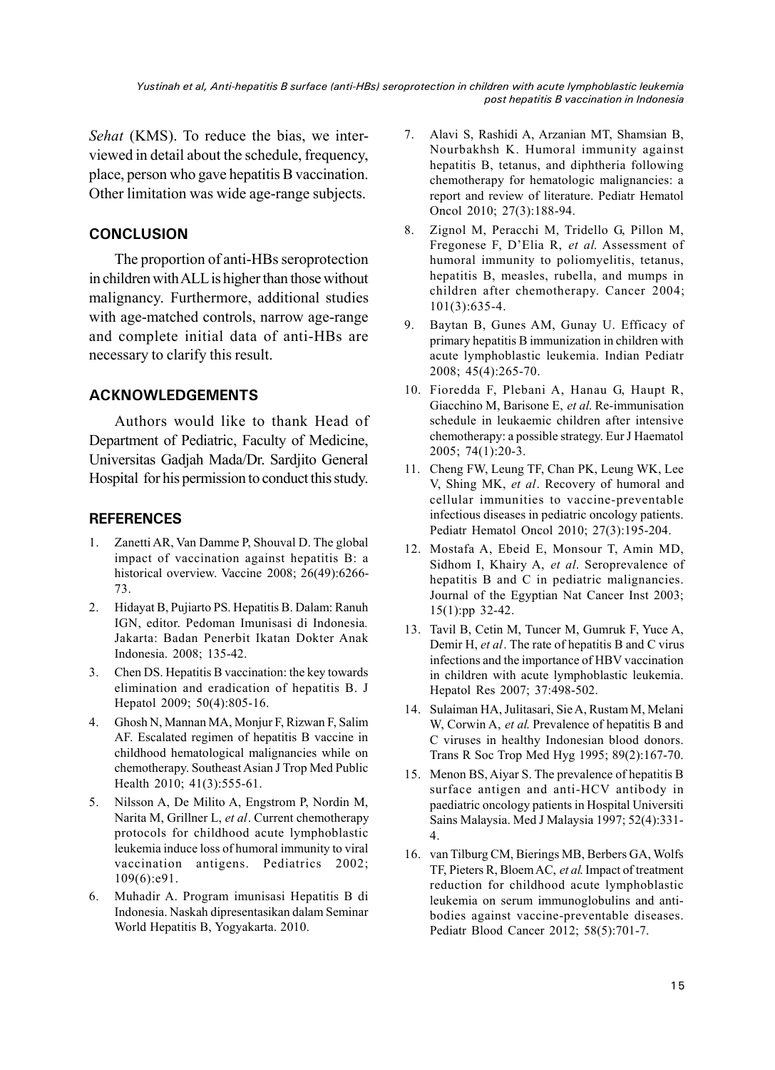*Yustinah et al, Anti-hepatitis B surface (anti-HBs) seroprotection in children with acute lymphoblastic leukemia post hepatitis B vaccination in Indonesia*

*Sehat* (KMS). To reduce the bias, we interviewed in detail about the schedule, frequency, place, person who gave hepatitis B vaccination. Other limitation was wide age-range subjects.

# **CONCLUSION**

The proportion of anti-HBs seroprotection in children with ALL is higher than those without malignancy. Furthermore, additional studies with age-matched controls, narrow age-range and complete initial data of anti-HBs are necessary to clarify this result.

## **ACKNOWLEDGEMENTS**

Authors would like to thank Head of Department of Pediatric, Faculty of Medicine, Universitas Gadjah Mada/Dr. Sardjito General Hospital for his permission to conduct this study.

#### **REFERENCES**

- 1. Zanetti AR, Van Damme P, Shouval D. The global impact of vaccination against hepatitis B: a historical overview. Vaccine 2008; 26(49):6266-73.
- 2. Hidayat B, Pujiarto PS. Hepatitis B. Dalam: Ranuh IGN, editor. Pedoman Imunisasi di Indonesia*.* Jakarta: Badan Penerbit Ikatan Dokter Anak Indonesia. 2008; 135-42.
- 3. Chen DS. Hepatitis B vaccination: the key towards elimination and eradication of hepatitis B. J Hepatol 2009; 50(4):805-16.
- 4. Ghosh N, Mannan MA, Monjur F, Rizwan F, Salim AF. Escalated regimen of hepatitis B vaccine in childhood hematological malignancies while on chemotherapy. Southeast Asian J Trop Med Public Health 2010; 41(3):555-61.
- 5. Nilsson A, De Milito A, Engstrom P, Nordin M, Narita M, Grillner L, *et al*. Current chemotherapy protocols for childhood acute lymphoblastic leukemia induce loss of humoral immunity to viral vaccination antigens. Pediatrics 2002; 109(6):e91.
- 6. Muhadir A. Program imunisasi Hepatitis B di Indonesia. Naskah dipresentasikan dalam Seminar World Hepatitis B, Yogyakarta. 2010.
- 7. Alavi S, Rashidi A, Arzanian MT, Shamsian B, Nourbakhsh K. Humoral immunity against hepatitis B, tetanus, and diphtheria following chemotherapy for hematologic malignancies: a report and review of literature. Pediatr Hematol Oncol 2010; 27(3):188-94.
- 8. Zignol M, Peracchi M, Tridello G, Pillon M, Fregonese F, D'Elia R, *et al*. Assessment of humoral immunity to poliomyelitis, tetanus, hepatitis B, measles, rubella, and mumps in children after chemotherapy. Cancer 2004; 101(3):635-4.
- 9. Baytan B, Gunes AM, Gunay U. Efficacy of primary hepatitis B immunization in children with acute lymphoblastic leukemia. Indian Pediatr 2008; 45(4):265-70.
- 10. Fioredda F, Plebani A, Hanau G, Haupt R, Giacchino M, Barisone E, *et al*. Re-immunisation schedule in leukaemic children after intensive chemotherapy: a possible strategy. Eur J Haematol 2005; 74(1):20-3.
- 11. Cheng FW, Leung TF, Chan PK, Leung WK, Lee V, Shing MK, *et al*. Recovery of humoral and cellular immunities to vaccine-preventable infectious diseases in pediatric oncology patients. Pediatr Hematol Oncol 2010; 27(3):195-204.
- 12. Mostafa A, Ebeid E, Monsour T, Amin MD, Sidhom I, Khairy A, *et al*. Seroprevalence of hepatitis B and C in pediatric malignancies. Journal of the Egyptian Nat Cancer Inst 2003; 15(1):pp 32-42.
- 13. Tavil B, Cetin M, Tuncer M, Gumruk F, Yuce A, Demir H, *et al*. The rate of hepatitis B and C virus infections and the importance of HBV vaccination in children with acute lymphoblastic leukemia. Hepatol Res 2007; 37:498-502.
- 14. Sulaiman HA, Julitasari, Sie A, Rustam M, Melani W, Corwin A, *et al*. Prevalence of hepatitis B and C viruses in healthy Indonesian blood donors. Trans R Soc Trop Med Hyg 1995; 89(2):167-70.
- 15. Menon BS, Aiyar S. The prevalence of hepatitis B surface antigen and anti-HCV antibody in paediatric oncology patients in Hospital Universiti Sains Malaysia. Med J Malaysia 1997; 52(4):331- 4.
- 16. van Tilburg CM, Bierings MB, Berbers GA, Wolfs TF, Pieters R, BloemAC, *et al*. Impact of treatment reduction for childhood acute lymphoblastic leukemia on serum immunoglobulins and antibodies against vaccine-preventable diseases. Pediatr Blood Cancer 2012; 58(5):701-7.